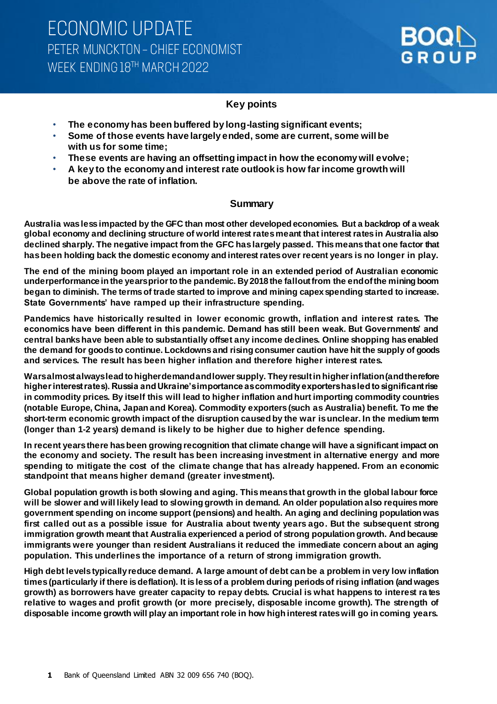### **Key points**

- **The economy has been buffered by long-lasting significant events;**
- **Some of those events have largely ended, some are current, some will be with us for some time;**
- **These events are having an offsetting impact in how the economy will evolve;**
- **A key to the economy and interest rate outlook is how far income growth will be above the rate of inflation.**

### **Summary**

**Australia was less impacted by the GFC than most other developed economies. But a backdrop of a weak global economy and declining structure of world interest rates meant that interest rates in Australia also declined sharply. The negative impact from the GFC has largely passed. This means that one factor that has been holding back the domestic economy and interest rates over recent years is no longer in play.**

**The end of the mining boom played an important role in an extended period of Australian economic underperformance in the years prior to the pandemic. By 2018 the fallout from the end of the mining boom began to diminish. The terms of trade started to improve and mining capex spending started to increase. State Governments' have ramped up their infrastructure spending.** 

**Pandemics have historically resulted in lower economic growth, inflation and interest rates. The economics have been different in this pandemic. Demand has still been weak. But Governments' and central banks have been able to substantially offset any income declines. Online shopping has enabled the demand for goods to continue. Lockdowns and rising consumer caution have hit the supply of goods and services. The result has been higher inflation and therefore higher interest rates.** 

**Wars almost always lead to higher demand and lower supply. They result in higher inflation (and therefore higher interest rates). Russia and Ukraine's importance as commodity exporters has led to significant rise in commodity prices. By itself this will lead to higher inflation and hurt importing commodity countries (notable Europe, China, Japan and Korea). Commodity exporters(such as Australia) benefit. To me the short-term economic growth impact of the disruption caused by the war is unclear. In the medium term (longer than 1-2 years) demand is likely to be higher due to higher defence spending.**

**In recent years there has been growing recognition that climate change will have a significant impact on the economy and society. The result has been increasing investment in alternative energy and more spending to mitigate the cost of the climate change that has already happened. From an economic standpoint that means higher demand (greater investment).** 

**Global population growth is both slowing and aging. This means that growth in the global labour force will be slower and will likely lead to slowing growth in demand. An older population also requires more government spending on income support (pensions) and health. An aging and declining population was first called out as a possible issue for Australia about twenty years ago. But the subsequent strong immigration growth meant that Australia experienced a period of strong population growth. And because immigrants were younger than resident Australians it reduced the immediate concern about an aging population. This underlines the importance of a return of strong immigration growth.** 

**High debt levels typically reduce demand. A large amount of debt can be a problem in very low inflation times (particularly if there is deflation). It is less of a problem during periods of rising inflation (and wages growth) as borrowers have greater capacity to repay debts. Crucial is what happens to interest ra tes relative to wages and profit growth (or more precisely, disposable income growth). The strength of disposable income growth will play an important role in how high interest rates will go in coming years.**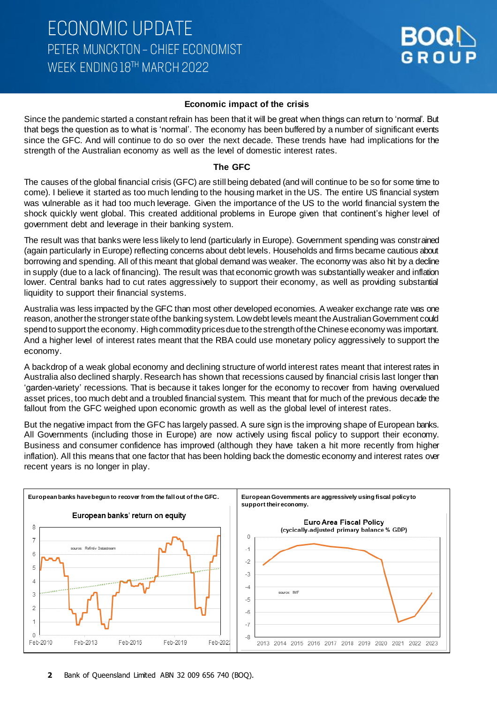

#### **Economic impact of the crisis**

Since the pandemic started a constant refrain has been that it will be great when things can return to 'normal'. But that begs the question as to what is 'normal'. The economy has been buffered by a number of significant events since the GFC. And will continue to do so over the next decade. These trends have had implications for the strength of the Australian economy as well as the level of domestic interest rates.

#### **The GFC**

The causes of the global financial crisis (GFC) are still being debated (and will continue to be so for some time to come). I believe it started as too much lending to the housing market in the US. The entire US financial system was vulnerable as it had too much leverage. Given the importance of the US to the world financial system the shock quickly went global. This created additional problems in Europe given that continent's higher level of government debt and leverage in their banking system.

The result was that banks were less likely to lend (particularly in Europe). Government spending was constrained (again particularly in Europe) reflecting concerns about debt levels. Households and firms became cautious about borrowing and spending. All of this meant that global demand was weaker. The economy was also hit by a decline in supply (due to a lack of financing). The result was that economic growth was substantially weaker and inflation lower. Central banks had to cut rates aggressively to support their economy, as well as providing substantial liquidity to support their financial systems.

Australia was less impacted by the GFC than most other developed economies. A weaker exchange rate was one reason, another the stronger state of the banking system. Low debt levels meant the Australian Government could spend to support the economy. High commodity prices due to the strength of the Chinese economy was important. And a higher level of interest rates meant that the RBA could use monetary policy aggressively to support the economy.

A backdrop of a weak global economy and declining structure of world interest rates meant that interest rates in Australia also declined sharply. Research has shown that recessions caused by financial crisis last longer than 'garden-variety' recessions. That is because it takes longer for the economy to recover from having overvalued asset prices, too much debt and a troubled financial system. This meant that for much of the previous decade the fallout from the GFC weighed upon economic growth as well as the global level of interest rates.

But the negative impact from the GFC has largely passed. A sure sign is the improving shape of European banks. All Governments (including those in Europe) are now actively using fiscal policy to support their economy. Business and consumer confidence has improved (although they have taken a hit more recently from higher inflation). All this means that one factor that has been holding back the domestic economy and interest rates over recent years is no longer in play.

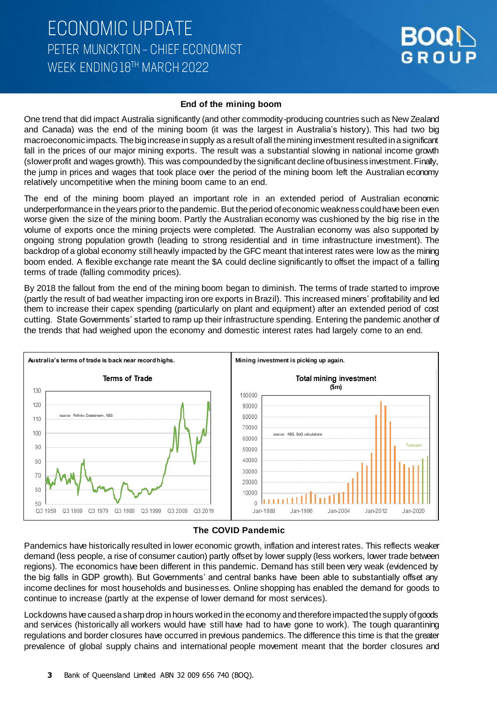#### **End of the mining boom**

One trend that did impact Australia significantly (and other commodity-producing countries such as New Zealand and Canada) was the end of the mining boom (it was the largest in Australia's history). This had two big macroeconomic impacts. The big increase in supply as a result of all the mining investment resulted in a significant fall in the prices of our major mining exports. The result was a substantial slowing in national income growth (slowerprofit and wages growth). This was compounded by the significant decline of business investment. Finally, the jump in prices and wages that took place over the period of the mining boom left the Australian economy relatively uncompetitive when the mining boom came to an end.

The end of the mining boom played an important role in an extended period of Australian economic underperformance in the years prior to the pandemic. But the period of economic weakness could have been even worse given the size of the mining boom. Partly the Australian economy was cushioned by the big rise in the volume of exports once the mining projects were completed. The Australian economy was also supported by ongoing strong population growth (leading to strong residential and in time infrastructure investment). The backdrop of a global economy still heavily impacted by the GFC meant that interest rates were low as the mining boom ended. A flexible exchange rate meant the \$A could decline significantly to offset the impact of a falling terms of trade (falling commodity prices).

By 2018 the fallout from the end of the mining boom began to diminish. The terms of trade started to improve (partly the result of bad weather impacting iron ore exports in Brazil). This increased miners' profitability and led them to increase their capex spending (particularly on plant and equipment) after an extended period of cost cutting. State Governments' started to ramp up their infrastructure spending. Entering the pandemic another of the trends that had weighed upon the economy and domestic interest rates had largely come to an end.



#### **The COVID Pandemic**

Pandemics have historically resulted in lower economic growth, inflation and interest rates. This reflects weaker demand (less people, a rise of consumer caution) partly offset by lower supply (less workers, lower trade between regions). The economics have been different in this pandemic. Demand has still been very weak (evidenced by the big falls in GDP growth). But Governments' and central banks have been able to substantially offset any income declines for most households and businesses. Online shopping has enabled the demand for goods to continue to increase (partly at the expense of lower demand for most services).

Lockdowns have caused a sharp drop in hours worked in the economy and therefore impacted the supply of goods and services (historically all workers would have still have had to have gone to work). The tough quarantining regulations and border closures have occurred in previous pandemics. The difference this time is that the greater prevalence of global supply chains and international people movement meant that the border closures and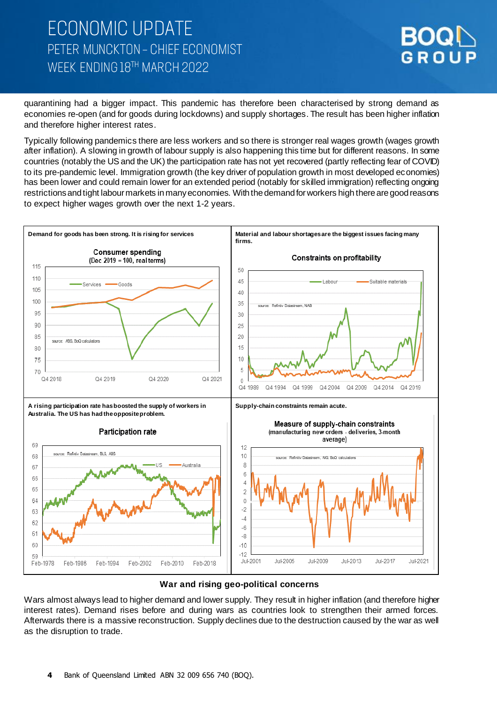# **ECONOMIC UPDATE** PETER MUNCKTON - CHIEF ECONOMIST WFFK FNDING 18TH MARCH 2022



quarantining had a bigger impact. This pandemic has therefore been characterised by strong demand as economies re-open (and for goods during lockdowns) and supply shortages. The result has been higher inflation and therefore higher interest rates.

Typically following pandemics there are less workers and so there is stronger real wages growth (wages growth after inflation). A slowing in growth of labour supply is also happening this time but for different reasons. In some countries (notably the US and the UK) the participation rate has not yet recovered (partly reflecting fear of COVID) to its pre-pandemic level. Immigration growth (the key driver of population growth in most developed economies) has been lower and could remain lower for an extended period (notably for skilled immigration) reflecting ongoing restrictions and tight labour markets in many economies. With the demand for workers high there are good reasons to expect higher wages growth over the next 1-2 years.



#### **War and rising geo-political concerns**

Wars almost always lead to higher demand and lower supply. They result in higher inflation (and therefore higher interest rates). Demand rises before and during wars as countries look to strengthen their armed forces. Afterwards there is a massive reconstruction. Supply declines due to the destruction caused by the war as well as the disruption to trade.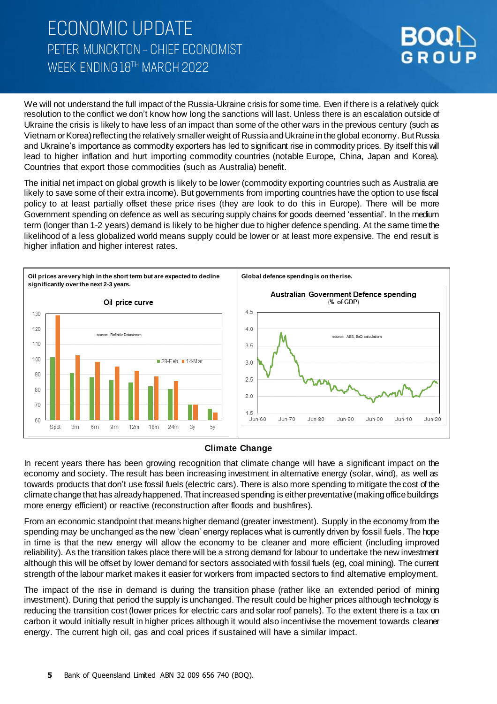# **ECONOMIC UPDATE** PETER MUNCKTON - CHIEF ECONOMIST WFFK FNDING 18TH MARCH 2022



We will not understand the full impact of the Russia-Ukraine crisis for some time. Even if there is a relatively quick resolution to the conflict we don't know how long the sanctions will last. Unless there is an escalation outside of Ukraine the crisis is likely to have less of an impact than some of the other wars in the previous century (such as Vietnam or Korea) reflecting the relatively smallerweight of Russia and Ukraine in the global economy. But Russia and Ukraine's importance as commodity exporters has led to significant rise in commodity prices. By itself this will lead to higher inflation and hurt importing commodity countries (notable Europe, China, Japan and Korea). Countries that export those commodities (such as Australia) benefit.

The initial net impact on global growth is likely to be lower (commodity exporting countries such as Australia are likely to save some of their extra income). But governments from importing countries have the option to use fiscal policy to at least partially offset these price rises (they are look to do this in Europe). There will be more Government spending on defence as well as securing supply chains for goods deemed 'essential'. In the medium term (longer than 1-2 years) demand is likely to be higher due to higher defence spending. At the same time the likelihood of a less globalized world means supply could be lower or at least more expensive. The end result is higher inflation and higher interest rates.



### **Climate Change**

In recent years there has been growing recognition that climate change will have a significant impact on the economy and society. The result has been increasing investment in alternative energy (solar, wind), as well as towards products that don't use fossil fuels (electric cars). There is also more spending to mitigate the cost of the climate change that has already happened. That increased spending is either preventative (making office buildings more energy efficient) or reactive (reconstruction after floods and bushfires).

From an economic standpoint that means higher demand (greater investment). Supply in the economy from the spending may be unchanged as the new 'clean' energy replaces what is currently driven by fossil fuels. The hope in time is that the new energy will allow the economy to be cleaner and more efficient (including improved reliability). As the transition takes place there will be a strong demand for labour to undertake the new investment although this will be offset by lower demand for sectors associated with fossil fuels (eg, coal mining). The current strength of the labour market makes it easier for workers from impacted sectors to find alternative employment.

The impact of the rise in demand is during the transition phase (rather like an extended period of mining investment). During that period the supply is unchanged. The result could be higher prices although technology is reducing the transition cost (lower prices for electric cars and solar roof panels). To the extent there is a tax on carbon it would initially result in higher prices although it would also incentivise the movement towards cleaner energy. The current high oil, gas and coal prices if sustained will have a similar impact.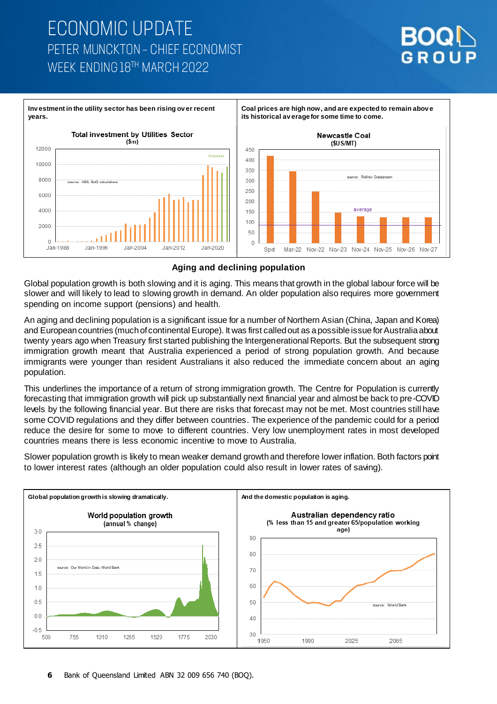# **ECONOMIC UPDATE** PETER MUNCKTON - CHIEF ECONOMIST WFFK FNDING 18TH MARCH 2022





### **Aging and declining population**

Global population growth is both slowing and it is aging. This means that growth in the global labour force will be slower and will likely to lead to slowing growth in demand. An older population also requires more government spending on income support (pensions) and health.

An aging and declining population is a significant issue for a number of Northern Asian (China, Japan and Korea) and European countries (much of continental Europe). It was first called out as a possible issue for Australia about twenty years ago when Treasury first started publishing the Intergenerational Reports. But the subsequent strong immigration growth meant that Australia experienced a period of strong population growth. And because immigrants were younger than resident Australians it also reduced the immediate concern about an aging population.

This underlines the importance of a return of strong immigration growth. The Centre for Population is currently forecasting that immigration growth will pick up substantially next financial year and almost be back to pre-COVID levels by the following financial year. But there are risks that forecast may not be met. Most countries still have some COVID regulations and they differ between countries. The experience of the pandemic could for a period reduce the desire for some to move to different countries. Very low unemployment rates in most developed countries means there is less economic incentive to move to Australia.

Slower population growth is likely to mean weaker demand growth and therefore lower inflation. Both factors point to lower interest rates (although an older population could also result in lower rates of saving).

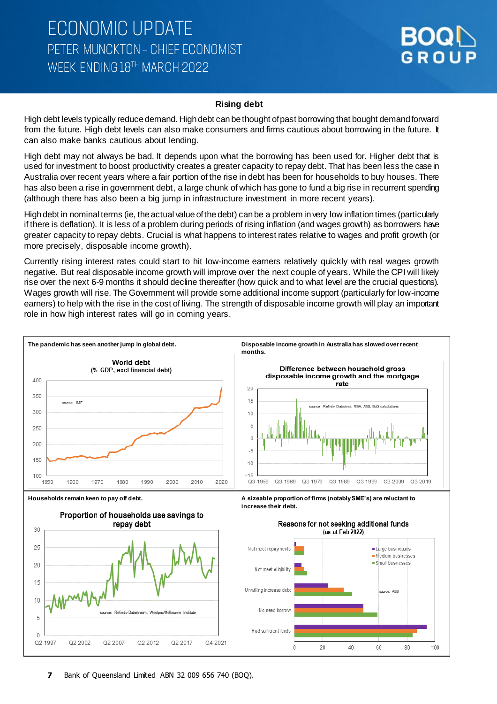#### **Rising debt**

High debt levels typically reduce demand. High debt can be thought of past borrowing that bought demand forward from the future. High debt levels can also make consumers and firms cautious about borrowing in the future. It can also make banks cautious about lending.

High debt may not always be bad. It depends upon what the borrowing has been used for. Higher debt that is used for investment to boost productivity creates a greater capacity to repay debt. That has been less the case in Australia over recent years where a fair portion of the rise in debt has been for households to buy houses. There has also been a rise in government debt, a large chunk of which has gone to fund a big rise in recurrent spending (although there has also been a big jump in infrastructure investment in more recent years).

High debt in nominal terms (ie, the actual value of the debt) can be a problem invery low inflation times (particularly if there is deflation). It is less of a problem during periods of rising inflation (and wages growth) as borrowers have greater capacity to repay debts. Crucial is what happens to interest rates relative to wages and profit growth (or more precisely, disposable income growth).

Currently rising interest rates could start to hit low-income earners relatively quickly with real wages growth negative. But real disposable income growth will improve over the next couple of years. While the CPI will likely rise over the next 6-9 months it should decline thereafter (how quick and to what level are the crucial questions). Wages growth will rise. The Government will provide some additional income support (particularly for low-income earners) to help with the rise in the cost of living. The strength of disposable income growth will play an important role in how high interest rates will go in coming years.